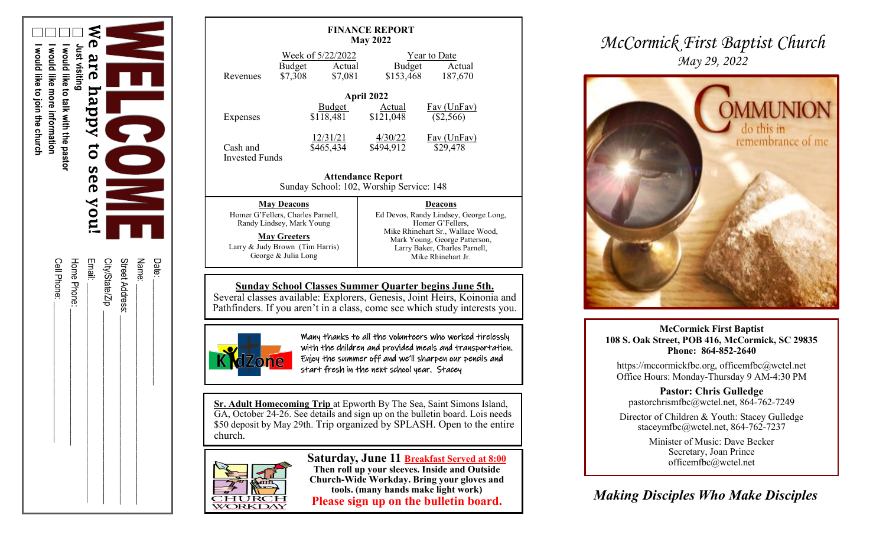

| Date:           |
|-----------------|
| Name:           |
| Street Address: |
| City/State/Zip  |
| Email:          |
| Hone Phone:     |
| Cell Phone:     |
|                 |

| <b>FINANCE REPORT</b><br><b>May 2022</b>                                                                                                                                                                               |                                                                                                                                                                       |                   |                      |                                                                                                                                                                                                          |  |  |
|------------------------------------------------------------------------------------------------------------------------------------------------------------------------------------------------------------------------|-----------------------------------------------------------------------------------------------------------------------------------------------------------------------|-------------------|----------------------|----------------------------------------------------------------------------------------------------------------------------------------------------------------------------------------------------------|--|--|
| Revenues                                                                                                                                                                                                               | Week of 5/22/2022<br><b>Budget</b><br>\$7,308                                                                                                                         | Actual<br>\$7,081 | Budget<br>\$153,468  | <b>Year to Date</b><br>Actual<br>187,670                                                                                                                                                                 |  |  |
| April 2022                                                                                                                                                                                                             |                                                                                                                                                                       |                   |                      |                                                                                                                                                                                                          |  |  |
| Expenses                                                                                                                                                                                                               | Budget<br>\$118,481                                                                                                                                                   |                   | Actual<br>\$121,048  | $\frac{Fav(UnFav)}{Fav}$<br>$(\$2,566)$                                                                                                                                                                  |  |  |
| Cash and<br><b>Invested Funds</b>                                                                                                                                                                                      | 12/31/21<br>\$465,434                                                                                                                                                 |                   | 4/30/22<br>\$494,912 | <b>Fav</b> (UnFav)<br>\$29,478                                                                                                                                                                           |  |  |
| <b>Attendance Report</b><br>Sunday School: 102, Worship Service: 148                                                                                                                                                   |                                                                                                                                                                       |                   |                      |                                                                                                                                                                                                          |  |  |
|                                                                                                                                                                                                                        | <b>May Deacons</b><br>Homer G'Fellers, Charles Parnell,<br>Randy Lindsey, Mark Young<br><b>May Greeters</b><br>Larry & Judy Brown (Tim Harris)<br>George & Julia Long |                   |                      | <b>Deacons</b><br>Ed Devos, Randy Lindsey, George Long,<br>Homer G'Fellers,<br>Mike Rhinehart Sr., Wallace Wood,<br>Mark Young, George Patterson,<br>Larry Baker, Charles Parnell,<br>Mike Rhinehart Jr. |  |  |
|                                                                                                                                                                                                                        |                                                                                                                                                                       |                   |                      |                                                                                                                                                                                                          |  |  |
| <b>Sunday School Classes Summer Quarter begins June 5th.</b><br>Several classes available: Explorers, Genesis, Joint Heirs, Koinonia and<br>Pathfinders. If you aren't in a class, come see which study interests you. |                                                                                                                                                                       |                   |                      |                                                                                                                                                                                                          |  |  |



Many thanks to all the volunteers who worked tirelessly with the children and provided meals and transportation. Enjoy the summer off and we'll sharpen our pencils and start fresh in the next school year. Stacey

**Sr. Adult Homecoming Trip** at Epworth By The Sea, Saint Simons Island, GA, October 24 -26. See details and sign up on the bulletin board. Lois needs \$50 deposit by May 29th. Trip organized by SPLASH. Open to the entire church.



**Saturday, June 11 Breakfast Served at 8:00 Then roll up your sleeves. Inside and Outside Church -Wide Workday. Bring your gloves and tools. (many hands make light work) Please sign up on the bulletin board.**

### *McCormick First Baptist Church May 29, 2022*



**McCormick First Baptist 108 S. Oak Street, POB 416, McCormick, SC 29835 Phone: 864 -852 -2640**

https://mccormickfbc.org, officemfbc@wctel.net Office Hours: Monday -Thursday 9 AM -4:30 PM

**Pastor: Chris Gulledge** pastorchrismfbc@wctel.net, 864 -762 -7249

Director of Children & Youth: Stacey Gulledge staceymfbc@wctel.net, 864-762-7237

> Minister of Music: Dave Becker Secretary, Joan Prince officemfbc@wctel.net

*Making Disciples Who Make Disciples*